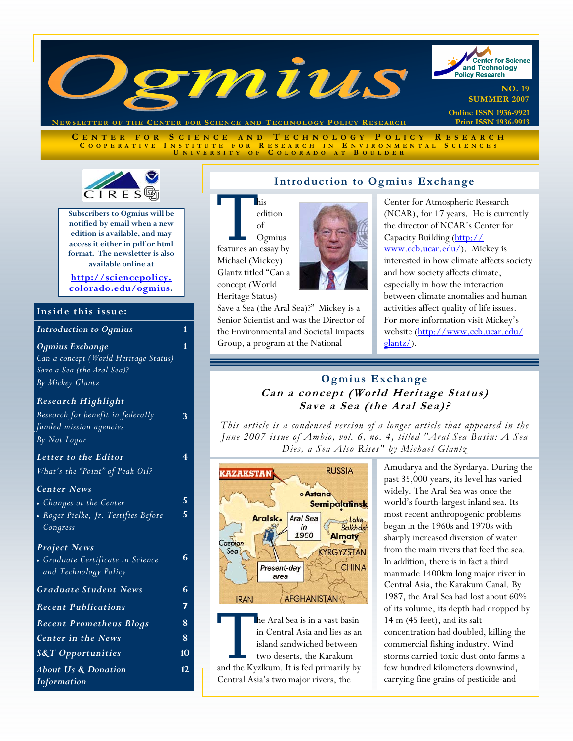

**NEWSLETTER OF THE CENTER FOR SCIENCE AND T ECHNOLOGY POLICY R ESEARCH**

**C ENTER FOR S CIENCE AND T ECHNOLOGY P OLICY R ESEARCH C OOPERATIVE I NSTITUTE FOR R ESEARCH I N E NVIRONMENTAL S CIENCES U NIVERSITY O F C OLORADO A T B OULDER**

of

concept (World Heritage Status)



**Subscribers to Ogmius will be notified by email when a new edition is available, and may access it either in pdf or html format. The newsletter is also available online at** 

**http://sciencepolicy. [colorado.edu/ogmius.](http://sciencepolicy.colorado.edu/ogmius)** 

### **Inside this issue:**

| <b>Introduction to Ogmius</b>                                                                              | 1      |
|------------------------------------------------------------------------------------------------------------|--------|
| Ogmius Exchange<br>Can a concept (World Heritage Status)<br>Save a Sea (the Aral Sea)?<br>By Mickey Glantz | 1      |
| <b>Research Highlight</b><br>Research for benefit in federally<br>funded mission agencies<br>By Nat Logar  | 3      |
| Letter to the Editor<br>What's the "Point" of Peak Oil?                                                    | 4      |
| <b>Center News</b><br>• Changes at the Center<br>• Roger Pielke, Jr. Testifies Before<br>Congress          | 5<br>5 |
| <b>Project News</b><br>• Graduate Certificate in Science<br>and Technology Policy                          | 6      |
| <b>Graduate Student News</b>                                                                               | 6      |
| <b>Recent Publications</b>                                                                                 | 7      |
| <b>Recent Prometheus Blogs</b>                                                                             | 8      |
| <b>Center in the News</b>                                                                                  | 8      |
| <b>S&amp;T</b> Opportunities                                                                               | 10     |
| <b>About Us &amp; Donation</b><br>Information                                                              | 12     |

### **Introduction to Ogmius Exchange**

**This**<br>
edition<br>
of<br>
Comius<br>
features an essay by edition Ogmius Michael (Mickey) Glantz titled "Can a

Save a Sea (the Aral Sea)?" Mickey is a Senior Scientist and was the Director of the Environmental and Societal Impacts Group, a program at the National

Center for Atmospheric Research (NCAR), for 17 years. He is currently the director of NCAR's Center for Capacity Building (http:// www.ccb.ucar.edu/). Mickey is interested in how climate affects society and how society affects climate, especially in how the interaction between climate anomalies and human activities affect quality of life issues. For more information visit Mickey's website (http://www.ccb.ucar.edu/ glantz/).

# **Ogmius Exchange Can a concept (World Heritage Status) Save a Sea (the Aral Sea)?**

*This article is a condensed version of a longer article that appeared in the June 2007 issue of Ambio, vol. 6, no. 4, titled "Aral Sea Basin: A Sea Dies, a Sea Also Rises" by Michael Glantz* 



The Aral Sea is in a vast basin<br>
in Central Asia and lies as an<br>
island sandwiched between<br>
two deserts, the Karakum<br>
and the Kyzlkum. It is fed primarily by in Central Asia and lies as an island sandwiched between two deserts, the Karakum Central Asia's two major rivers, the

Amudarya and the Syrdarya. During the past 35,000 years, its level has varied widely. The Aral Sea was once the world's fourth-largest inland sea. Its most recent anthropogenic problems began in the 1960s and 1970s with sharply increased diversion of water from the main rivers that feed the sea. In addition, there is in fact a third manmade 1400km long major river in Central Asia, the Karakum Canal. By 1987, the Aral Sea had lost about 60% of its volume, its depth had dropped by 14 m (45 feet), and its salt concentration had doubled, killing the commercial fishing industry. Wind storms carried toxic dust onto farms a few hundred kilometers downwind, carrying fine grains of pesticide-and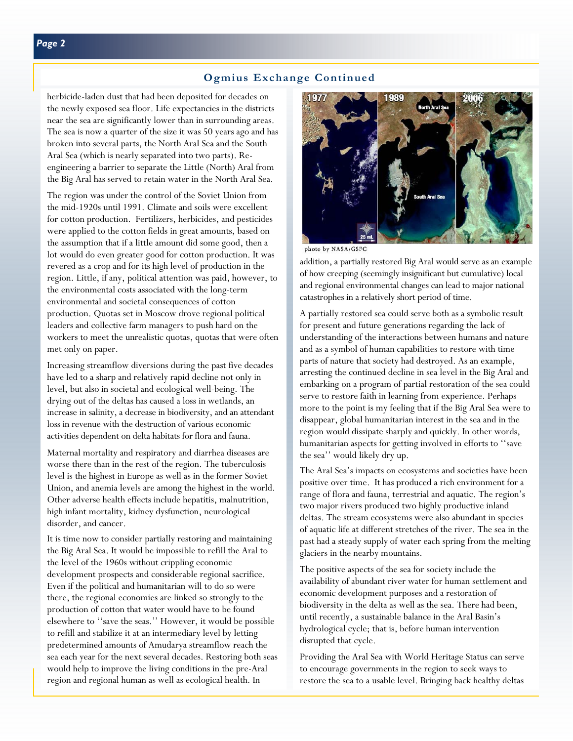### **Ogmius Exchange Continued**

herbicide-laden dust that had been deposited for decades on the newly exposed sea floor. Life expectancies in the districts near the sea are significantly lower than in surrounding areas. The sea is now a quarter of the size it was 50 years ago and has broken into several parts, the North Aral Sea and the South Aral Sea (which is nearly separated into two parts). Reengineering a barrier to separate the Little (North) Aral from the Big Aral has served to retain water in the North Aral Sea.

The region was under the control of the Soviet Union from the mid-1920s until 1991. Climate and soils were excellent for cotton production. Fertilizers, herbicides, and pesticides were applied to the cotton fields in great amounts, based on the assumption that if a little amount did some good, then a lot would do even greater good for cotton production. It was revered as a crop and for its high level of production in the region. Little, if any, political attention was paid, however, to the environmental costs associated with the long-term environmental and societal consequences of cotton production. Quotas set in Moscow drove regional political leaders and collective farm managers to push hard on the workers to meet the unrealistic quotas, quotas that were often met only on paper.

Increasing streamflow diversions during the past five decades have led to a sharp and relatively rapid decline not only in level, but also in societal and ecological well-being. The drying out of the deltas has caused a loss in wetlands, an increase in salinity, a decrease in biodiversity, and an attendant loss in revenue with the destruction of various economic activities dependent on delta habitats for flora and fauna.

Maternal mortality and respiratory and diarrhea diseases are worse there than in the rest of the region. The tuberculosis level is the highest in Europe as well as in the former Soviet Union, and anemia levels are among the highest in the world. Other adverse health effects include hepatitis, malnutrition, high infant mortality, kidney dysfunction, neurological disorder, and cancer.

It is time now to consider partially restoring and maintaining the Big Aral Sea. It would be impossible to refill the Aral to the level of the 1960s without crippling economic development prospects and considerable regional sacrifice. Even if the political and humanitarian will to do so were there, the regional economies are linked so strongly to the production of cotton that water would have to be found elsewhere to ''save the seas.'' However, it would be possible to refill and stabilize it at an intermediary level by letting predetermined amounts of Amudarya streamflow reach the sea each year for the next several decades. Restoring both seas would help to improve the living conditions in the pre-Aral region and regional human as well as ecological health. In



photo by NASA/GSFC

addition, a partially restored Big Aral would serve as an example of how creeping (seemingly insignificant but cumulative) local and regional environmental changes can lead to major national catastrophes in a relatively short period of time.

A partially restored sea could serve both as a symbolic result for present and future generations regarding the lack of understanding of the interactions between humans and nature and as a symbol of human capabilities to restore with time parts of nature that society had destroyed. As an example, arresting the continued decline in sea level in the Big Aral and embarking on a program of partial restoration of the sea could serve to restore faith in learning from experience. Perhaps more to the point is my feeling that if the Big Aral Sea were to disappear, global humanitarian interest in the sea and in the region would dissipate sharply and quickly. In other words, humanitarian aspects for getting involved in efforts to ''save the sea'' would likely dry up.

The Aral Sea's impacts on ecosystems and societies have been positive over time. It has produced a rich environment for a range of flora and fauna, terrestrial and aquatic. The region's two major rivers produced two highly productive inland deltas. The stream ecosystems were also abundant in species of aquatic life at different stretches of the river. The sea in the past had a steady supply of water each spring from the melting glaciers in the nearby mountains.

The positive aspects of the sea for society include the availability of abundant river water for human settlement and economic development purposes and a restoration of biodiversity in the delta as well as the sea. There had been, until recently, a sustainable balance in the Aral Basin's hydrological cycle; that is, before human intervention disrupted that cycle.

Providing the Aral Sea with World Heritage Status can serve to encourage governments in the region to seek ways to restore the sea to a usable level. Bringing back healthy deltas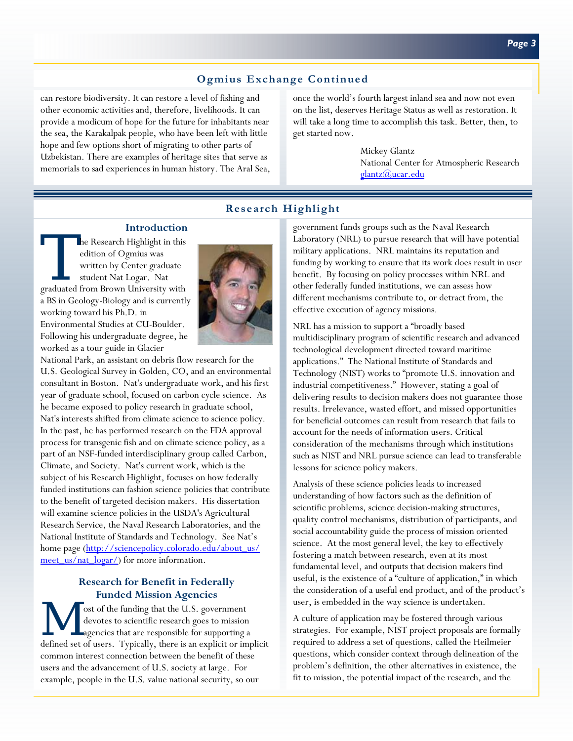# **Ogmius Exchange Continued**

can restore biodiversity. It can restore a level of fishing and other economic activities and, therefore, livelihoods. It can provide a modicum of hope for the future for inhabitants near the sea, the Karakalpak people, who have been left with little hope and few options short of migrating to other parts of Uzbekistan. There are examples of heritage sites that serve as memorials to sad experiences in human history. The Aral Sea, once the world's fourth largest inland sea and now not even on the list, deserves Heritage Status as well as restoration. It will take a long time to accomplish this task. Better, then, to get started now.

> Mickey Glantz National Center for Atmospheric Research glantz@ucar.edu

# **Research Highlight**

### **Introduction**

The Research Highlight in this<br>
edition of Ogmius was<br>
written by Center graduate<br>
student Nat Logar. Nat<br>
graduated from Brown University with edition of Ogmius was written by Center graduate student Nat Logar. Nat a BS in Geology-Biology and is currently working toward his Ph.D. in Environmental Studies at CU-Boulder. Following his undergraduate degree, he worked as a tour guide in Glacier



National Park, an assistant on debris flow research for the U.S. Geological Survey in Golden, CO, and an environmental consultant in Boston. Nat's undergraduate work, and his first year of graduate school, focused on carbon cycle science. As he became exposed to policy research in graduate school, Nat's interests shifted from climate science to science policy. In the past, he has performed research on the FDA approval process for transgenic fish and on climate science policy, as a part of an NSF-funded interdisciplinary group called Carbon, Climate, and Society. Nat's current work, which is the subject of his Research Highlight, focuses on how federally funded institutions can fashion science policies that contribute to the benefit of targeted decision makers. His dissertation will examine science policies in the USDA's Agricultural Research Service, the Naval Research Laboratories, and the National Institute of Standards and Technology. See Nat's home page (http://sciencepolicy.colorado.edu/about\_us/ meet us/nat logar/) for more information.

### **Research for Benefit in Federally Funded Mission Agencies**

ost of the funding that the U.S. government<br>devotes to scientific research goes to mission<br>agencies that are responsible for supporting a<br>defined ext of users. Timinally, there is an auxiliation imm devotes to scientific research goes to mission defined set of users. Typically, there is an explicit or implicit common interest connection between the benefit of these users and the advancement of U.S. society at large. For example, people in the U.S. value national security, so our

government funds groups such as the Naval Research Laboratory (NRL) to pursue research that will have potential military applications. NRL maintains its reputation and funding by working to ensure that its work does result in user benefit. By focusing on policy processes within NRL and other federally funded institutions, we can assess how different mechanisms contribute to, or detract from, the effective execution of agency missions.

NRL has a mission to support a "broadly based multidisciplinary program of scientific research and advanced technological development directed toward maritime applications." The National Institute of Standards and Technology (NIST) works to "promote U.S. innovation and industrial competitiveness." However, stating a goal of delivering results to decision makers does not guarantee those results. Irrelevance, wasted effort, and missed opportunities for beneficial outcomes can result from research that fails to account for the needs of information users. Critical consideration of the mechanisms through which institutions such as NIST and NRL pursue science can lead to transferable lessons for science policy makers.

Analysis of these science policies leads to increased understanding of how factors such as the definition of scientific problems, science decision-making structures, quality control mechanisms, distribution of participants, and social accountability guide the process of mission oriented science. At the most general level, the key to effectively fostering a match between research, even at its most fundamental level, and outputs that decision makers find useful, is the existence of a "culture of application," in which the consideration of a useful end product, and of the product's user, is embedded in the way science is undertaken.

A culture of application may be fostered through various strategies. For example, NIST project proposals are formally required to address a set of questions, called the Heilmeier questions, which consider context through delineation of the problem's definition, the other alternatives in existence, the fit to mission, the potential impact of the research, and the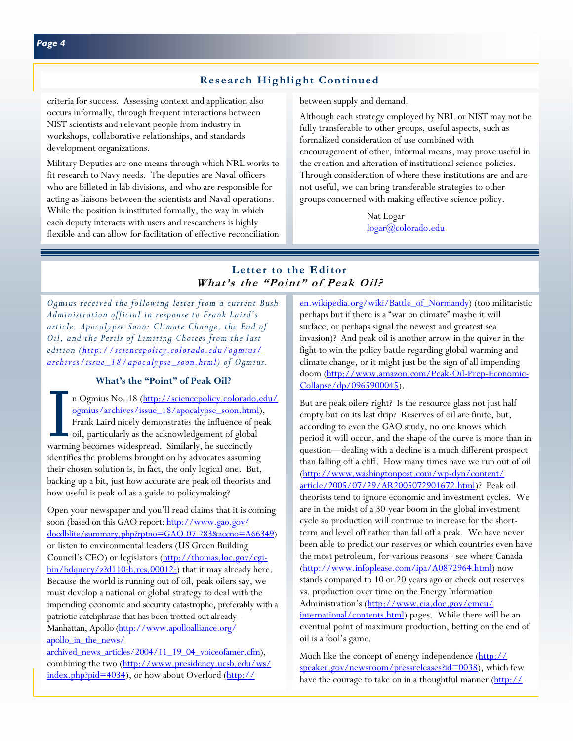### **Research Highlight Continued**

criteria for success. Assessing context and application also occurs informally, through frequent interactions between NIST scientists and relevant people from industry in workshops, collaborative relationships, and standards development organizations.

Military Deputies are one means through which NRL works to fit research to Navy needs. The deputies are Naval officers who are billeted in lab divisions, and who are responsible for acting as liaisons between the scientists and Naval operations. While the position is instituted formally, the way in which each deputy interacts with users and researchers is highly flexible and can allow for facilitation of effective reconciliation

between supply and demand.

Although each strategy employed by NRL or NIST may not be fully transferable to other groups, useful aspects, such as formalized consideration of use combined with encouragement of other, informal means, may prove useful in the creation and alteration of institutional science policies. Through consideration of where these institutions are and are not useful, we can bring transferable strategies to other groups concerned with making effective science policy.

> Nat Logar logar@colorado.edu

### **Letter to the Editor What's the "Point" of Peak Oil?**

*Ogmius received the following letter from a current Bush Administration official in response to Frank Laird's article, Apocalypse Soon: Climate Change, the End of Oil, and the Perils of Limiting Choices from the last edition (http://sciencepolicy.colorado.edu/ogmius/ archives/issue\_18/apocalypse\_soon.html) of Ogmius.* 

### **What's the "Point" of Peak Oil?**

n Ogmius No. 18 (<u>http://sciencepolicy.colorado.edu/ogmius/archives/issue 18/apocalypse soon.html),</u><br>Frank Laird nicely demonstrates the influence of peak<br>oil, particularly as the acknowledgement of global<br>warming becomes ogmius/archives/issue\_18/apocalypse\_soon.html), Frank Laird nicely demonstrates the influence of peak oil, particularly as the acknowledgement of global warming becomes widespread. Similarly, he succinctly identifies the problems brought on by advocates assuming their chosen solution is, in fact, the only logical one. But, backing up a bit, just how accurate are peak oil theorists and how useful is peak oil as a guide to policymaking?

Open your newspaper and you'll read claims that it is coming soon (based on this GAO report: http://www.gao.gov/ docdblite/summary.php?rptno=GAO-07-283&accno=A66349) or listen to environmental leaders (US Green Building Council's CEO) or legislators (http://thomas.loc.gov/cgibin/bdquery/z?d110:h.res.00012:) that it may already here. Because the world is running out of oil, peak oilers say, we must develop a national or global strategy to deal with the impending economic and security catastrophe, preferably with a patriotic catchphrase that has been trotted out already - Manhattan, Apollo (http://www.apolloalliance.org/ apollo in the news/

archived\_news\_articles/2004/11\_19\_04\_voiceofamer.cfm), combining the two (http://www.presidency.ucsb.edu/ws/ index.php?pid=4034), or how about Overlord (http://

en.wikipedia.org/wiki/Battle\_of\_Normandy) (too militaristic perhaps but if there is a "war on climate" maybe it will surface, or perhaps signal the newest and greatest sea invasion)? And peak oil is another arrow in the quiver in the fight to win the policy battle regarding global warming and climate change, or it might just be the sign of all impending doom (http://www.amazon.com/Peak-Oil-Prep-Economic-Collapse/dp/0965900045).

But are peak oilers right? Is the resource glass not just half empty but on its last drip? Reserves of oil are finite, but, according to even the GAO study, no one knows which period it will occur, and the shape of the curve is more than in question—dealing with a decline is a much different prospect than falling off a cliff. How many times have we run out of oil (http://www.washingtonpost.com/wp-dyn/content/ article/2005/07/29/AR2005072901672.html)? Peak oil theorists tend to ignore economic and investment cycles. We are in the midst of a 30-year boom in the global investment cycle so production will continue to increase for the shortterm and level off rather than fall off a peak. We have never been able to predict our reserves or which countries even have the most petroleum, for various reasons - see where Canada (http://www.infoplease.com/ipa/A0872964.html) now stands compared to 10 or 20 years ago or check out reserves vs. production over time on the Energy Information Administration's (http://www.eia.doe.gov/emeu/ international/contents.html) pages. While there will be an eventual point of maximum production, betting on the end of oil is a fool's game.

Much like the concept of energy independence (http:// speaker.gov/newsroom/pressreleases?id=0038), which few have the courage to take on in a thoughtful manner [\(http://](http://www.energycommission.org/site/page.php?testimony=17)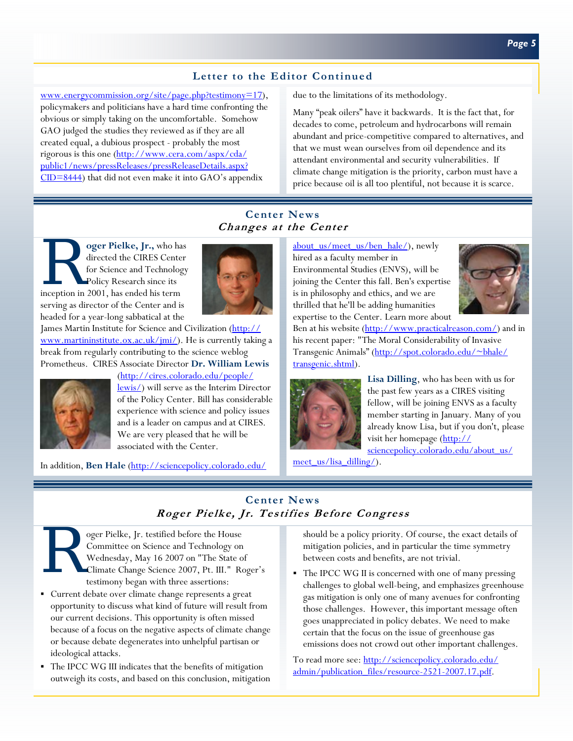# **Letter to the Editor Continued**

[www.energycommission.org/site/page.php?testimony=17\),](http://www.energycommission.org/site/page.php?testimony=17)  policymakers and politicians have a hard time confronting the obvious or simply taking on the uncomfortable. Somehow GAO judged the studies they reviewed as if they are all created equal, a dubious prospect - probably the most rigorous is this one (http://www.cera.com/aspx/cda/ public1/news/pressReleases/pressReleaseDetails.aspx? CID=8444) that did not even make it into GAO's appendix

due to the limitations of its methodology.

Many "peak oilers" have it backwards. It is the fact that, for decades to come, petroleum and hydrocarbons will remain abundant and price-competitive compared to alternatives, and that we must wean ourselves from oil dependence and its attendant environmental and security vulnerabilities. If climate change mitigation is the priority, carbon must have a price because oil is all too plentiful, not because it is scarce.

# **Center News Changes at the Center**

**oger Pielke, Jr.,** who has directed the CIRES Center for Science and Technology Policy Research since its inception in 2001, has ended his term directed the CIRES Center for Science and Technology Policy Research since its serving as director of the Center and is headed for a year-long sabbatical at the



James Martin Institute for Science and Civilization (http:// www.martininstitute.ox.ac.uk/jmi/). He is currently taking a break from regularly contributing to the science weblog Prometheus. CIRES Associate Director **Dr. William Lewis** 



(http://cires.colorado.edu/people/ lewis/) will serve as the Interim Director of the Policy Center. Bill has considerable experience with science and policy issues and is a leader on campus and at CIRES. We are very pleased that he will be associated with the Center.

In addition, **Ben Hale** (http://sciencepolicy.colorado.edu/

about\_us/meet\_us/ben\_hale/), newly hired as a faculty member in Environmental Studies (ENVS), will be joining the Center this fall. Ben's expertise is in philosophy and ethics, and we are thrilled that he'll be adding humanities expertise to the Center. Learn more about



Ben at his website (http://www.practicalreason.com/) and in his recent paper: "The Moral Considerability of Invasive Transgenic Animals" (http://spot.colorado.edu/~bhale/ transgenic.shtml).



**Lisa Dilling**, who has been with us for the past few years as a CIRES visiting fellow, will be joining ENVS as a faculty member starting in January. Many of you already know Lisa, but if you don't, please visit her homepage (http:// sciencepolicy.colorado.edu/about\_us/

meet\_us/lisa\_dilling/).

# **Center News Roger Pielke, Jr. Testifies Before Congress**



Oger Pielke, Jr. testified before the House<br>Committee on Science and Technology on<br>Wednesday, May 16 2007 on "The State of<br>Climate Change Science 2007, Pt. III." Restriment began with three assertions: Committee on Science and Technology on Wednesday, May 16 2007 on "The State of Climate Change Science 2007, Pt. III." Roger's testimony began with three assertions:

- Current debate over climate change represents a great opportunity to discuss what kind of future will result from our current decisions. This opportunity is often missed because of a focus on the negative aspects of climate change or because debate degenerates into unhelpful partisan or ideological attacks.
- The IPCC WG III indicates that the benefits of mitigation outweigh its costs, and based on this conclusion, mitigation

should be a policy priority. Of course, the exact details of mitigation policies, and in particular the time symmetry between costs and benefits, are not trivial.

 The IPCC WG II is concerned with one of many pressing challenges to global well-being, and emphasizes greenhouse gas mitigation is only one of many avenues for confronting those challenges. However, this important message often goes unappreciated in policy debates. We need to make certain that the focus on the issue of greenhouse gas emissions does not crowd out other important challenges.

[To read more see: http://sciencepolicy.colorado.edu/](http://sciencepolicy.colorado.edu/admin/publication_files/resource-2521-2007.17.pdf) admin/publication\_files/resource-2521-2007.17.pdf.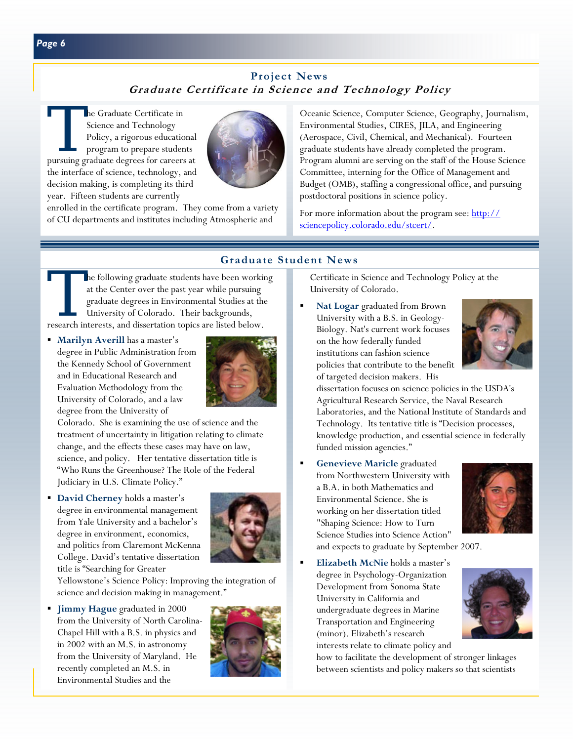# **Project News Graduate Certificate in Science and Technology Policy**

The Graduate Certificate in<br>
Science and Technology<br>
Policy, a rigorous education<br>
program to prepare studen<br>
pursuing graduate degrees for careers Science and Technology Policy, a rigorous educational program to prepare students pursuing graduate degrees for careers at the interface of science, technology, and decision making, is completing its third year. Fifteen students are currently



enrolled in the certificate program. They come from a variety of CU departments and institutes including Atmospheric and

Oceanic Science, Computer Science, Geography, Journalism, Environmental Studies, CIRES, JILA, and Engineering (Aerospace, Civil, Chemical, and Mechanical). Fourteen graduate students have already completed the program. Program alumni are serving on the staff of the House Science Committee, interning for the Office of Management and Budget (OMB), staffing a congressional office, and pursuing postdoctoral positions in science policy.

For more information about the program see: http:// sciencepolicy.colorado.edu/stcert/.

### **Graduate Student News**

he following graduate students have been working at the Center over the past year while pursuing graduate degrees in Environmental Studies at the University of Colorado. Their backgrounds, research interests, and dissertation topics are listed below.

**Marilyn Averill has a master's** degree in Public Administration from the Kennedy School of Government and in Educational Research and Evaluation Methodology from the University of Colorado, and a law degree from the University of



Colorado. She is examining the use of science and the treatment of uncertainty in litigation relating to climate change, and the effects these cases may have on law, science, and policy. Her tentative dissertation title is "Who Runs the Greenhouse? The Role of the Federal Judiciary in U.S. Climate Policy."

 **David Cherney** holds a master's degree in environmental management from Yale University and a bachelor's degree in environment, economics, and politics from Claremont McKenna College. David's tentative dissertation title is "Searching for Greater



Yellowstone's Science Policy: Improving the integration of science and decision making in management."

**Jimmy Hague graduated in 2000** from the University of North Carolina-Chapel Hill with a B.S. in physics and in 2002 with an M.S. in astronomy from the University of Maryland. He recently completed an M.S. in Environmental Studies and the



Certificate in Science and Technology Policy at the University of Colorado.

 **Nat Logar** graduated from Brown University with a B.S. in Geology-Biology. Nat's current work focuses on the how federally funded institutions can fashion science policies that contribute to the benefit of targeted decision makers. His



dissertation focuses on science policies in the USDA's Agricultural Research Service, the Naval Research Laboratories, and the National Institute of Standards and Technology. Its tentative title is "Decision processes, knowledge production, and essential science in federally funded mission agencies."

 **Genevieve Maricle** graduated from Northwestern University with a B.A. in both Mathematics and Environmental Science. She is working on her dissertation titled "Shaping Science: How to Turn Science Studies into Science Action" and expects to graduate by September 2007.



 **Elizabeth McNie** holds a master's degree in Psychology-Organization Development from Sonoma State University in California and undergraduate degrees in Marine Transportation and Engineering (minor). Elizabeth's research interests relate to climate policy and



how to facilitate the development of stronger linkages between scientists and policy makers so that scientists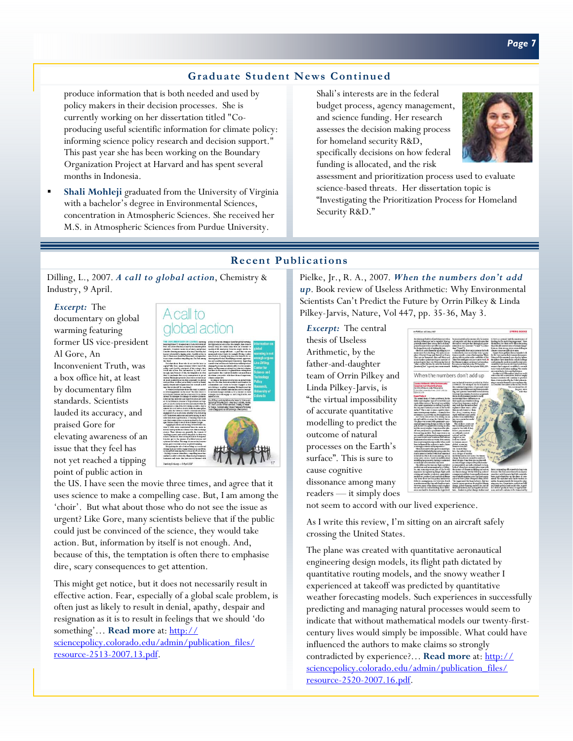# **Graduate Student News Continued**

produce information that is both needed and used by policy makers in their decision processes. She is currently working on her dissertation titled "Coproducing useful scientific information for climate policy: informing science policy research and decision support." This past year she has been working on the Boundary Organization Project at Harvard and has spent several months in Indonesia.

 **Shali Mohleji** graduated from the University of Virginia with a bachelor's degree in Environmental Sciences, concentration in Atmospheric Sciences. She received her M.S. in Atmospheric Sciences from Purdue University.

Shali's interests are in the federal budget process, agency management, and science funding. Her research assesses the decision making process for homeland security R&D, specifically decisions on how federal funding is allocated, and the risk



assessment and prioritization process used to evaluate science-based threats. Her dissertation topic is "Investigating the Prioritization Process for Homeland Security R&D."

### **Recent Publications**

Dilling, L., 2007. *A call to global action*, Chemistry & Industry, 9 April.

#### *Excerpt:* The

documentary on global warming featuring former US vice-president Al Gore, An Inconvenient Truth, was a box office hit, at least by documentary film standards. Scientists lauded its accuracy, and praised Gore for elevating awareness of an issue that they feel has not yet reached a tipping point of public action in



the US. I have seen the movie three times, and agree that it uses science to make a compelling case. But, I am among the 'choir'. But what about those who do not see the issue as urgent? Like Gore, many scientists believe that if the public could just be convinced of the science, they would take action. But, information by itself is not enough. And, because of this, the temptation is often there to emphasise dire, scary consequences to get attention.

This might get notice, but it does not necessarily result in effective action. Fear, especially of a global scale problem, is often just as likely to result in denial, apathy, despair and resignation as it is to result in feelings that we should 'do something'… **Read more** at: http://

[sciencepolicy.colorado.edu/admin/publication\\_files/](http://sciencepolicy.colorado.edu/admin/publication_files/resource-2513-2007.13.pdf) resource-2513-2007.13.pdf.

Pielke, Jr., R. A., 2007. *When the numbers don't add up*. Book review of Useless Arithmetic: Why Environmental Scientists Can't Predict the Future by Orrin Pilkey & Linda Pilkey-Jarvis, Nature, Vol 447, pp. 35-36, May 3.

*Excerpt:* The central thesis of Useless Arithmetic, by the father-and-daughter team of Orrin Pilkey and Linda Pilkey-Jarvis, is "the virtual impossibility of accurate quantitative modelling to predict the outcome of natural processes on the Earth's surface". This is sure to cause cognitive dissonance among many readers — it simply does



not seem to accord with our lived experience.

As I write this review, I'm sitting on an aircraft safely crossing the United States.

The plane was created with quantitative aeronautical engineering design models, its flight path dictated by quantitative routing models, and the snowy weather I experienced at takeoff was predicted by quantitative weather forecasting models. Such experiences in successfully predicting and managing natural processes would seem to indicate that without mathematical models our twenty-firstcentury lives would simply be impossible. What could have influenced the authors to make claims so strongly contradicted by experience?… **Read more** at: http:// [sciencepolicy.colorado.edu/admin/publication\\_files/](http://sciencepolicy.colorado.edu/admin/publication_files/resource-2520-2007.16.pdf) resource-2520-2007.16.pdf.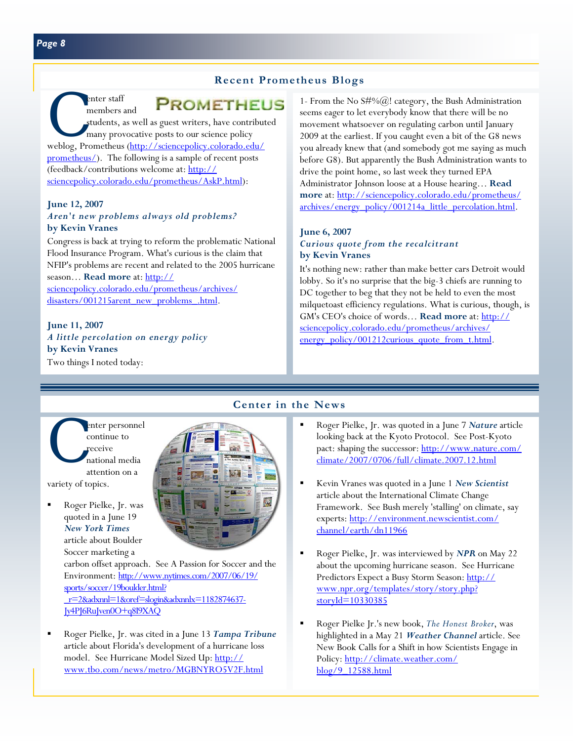### **Recent Prometheus Blogs**

# **PROMETHEUS**

enter staff<br>
members and<br>
students, as well as guest writers, have contribu<br>
many provocative posts to our science policy<br>
weblog, Prometheus (http://sciencepolicy.colorado.edu/ members and students, as well as guest writers, have contributed many provocative posts to our science policy prometheus/). The following is a sample of recent posts (feedback/contributions welcome at: http:// [sciencepolicy.colorado.edu/prometheus/AskP.html\):](http://sciencepolicy.colorado.edu/prometheus/AskP.html) 

### **June 12, 2007**  *Aren't new problems always old problems?*  **by Kevin Vranes**

Congress is back at trying to reform the problematic National Flood Insurance Program. What's curious is the claim that NFIP's problems are recent and related to the 2005 hurricane season… **Read more** at: http:// [sciencepolicy.colorado.edu/prometheus/archives/](http://sciencepolicy.colorado.edu/prometheus/archives/disasters/001215arent_new_problems_.html) disasters/001215arent\_new\_problems\_.html.

### **June 11, 2007**  *A little percolation on energy policy*  **by Kevin Vranes**

Two things I noted today:

1- From the No  $S\#%(\widehat{\omega})$ ! category, the Bush Administration seems eager to let everybody know that there will be no movement whatsoever on regulating carbon until January 2009 at the earliest. If you caught even a bit of the G8 news you already knew that (and somebody got me saying as much before G8). But apparently the Bush Administration wants to drive the point home, so last week they turned EPA Administrator Johnson loose at a House hearing… **Read more** at: http://sciencepolicy.colorado.edu/prometheus/ [archives/energy\\_policy/001214a\\_little\\_percolation.html.](http://sciencepolicy.colorado.edu/prometheus/archives/energy_policy/001214a_little_percolation.html) 

### **June 6, 2007**  *Curious quote from the recalcitrant*  **by Kevin Vranes**

It's nothing new: rather than make better cars Detroit would lobby. So it's no surprise that the big-3 chiefs are running to DC together to beg that they not be held to even the most milquetoast efficiency regulations. What is curious, though, is GM's CEO's choice of words… **Read more** at: http:// sciencepolicy.colorado.edu/prometheus/archives/ energy\_policy/001212curious\_quote\_from\_t.html.

### enter personnel<br>
continue to<br>
receive<br>
national media<br>
attention on a continue to receive national media attention on a

variety of topics.

 Roger Pielke, Jr. was quoted in a June 19 *New York Times*  article about Boulder Soccer marketing a

carbon offset approach. See A Passion for Soccer and the [Environment: http://www.nytimes.com/2007/06/19/](http://www.nytimes.com/2007/06/19/sports/soccer/19boulder.html?_r=2&adxnnl=1&oref=slogin&adxnnlx=1182874637-Jy4PJ6RuJven0O+q8I9XAQ) sports/soccer/19boulder.html? \_r=2&adxnnl=1&oref=slogin&adxnnlx=1182874637- Jy4PJ6RuJven0O+q8I9XAQ

 Roger Pielke, Jr. was cited in a June 13 *Tampa Tribune*  article about Florida's development of a hurricane loss model. See Hurricane Model Sized Up: http:// www.tbo.com/news/metro/MGBNYRO5V2F.html

# **Center in the News**

- Roger Pielke, Jr. was quoted in a June 7 *Nature* article looking back at the Kyoto Protocol. See Post-Kyoto [pact: shaping the successor: http://www.nature.com/](http://www.nature.com/climate/2007/0706/full/climate.2007.12.html) climate/2007/0706/full/climate.2007.12.html
- Kevin Vranes was quoted in a June 1 *New Scientist*  article about the International Climate Change Framework. See Bush merely 'stalling' on climate, say [experts: http://environment.newscientist.com/](http://environment.newscientist.com/channel/earth/dn11966) channel/earth/dn11966
- Roger Pielke, Jr. was interviewed by *NPR* on May 22 about the upcoming hurricane season. See Hurricane [Predictors Expect a Busy Storm Season: http://](http://www.npr.org/templates/story/story.php?storyId=10330385) www.npr.org/templates/story/story.php? storyId=10330385
- Roger Pielke Jr.'s new book, *The Honest Broker*, was highlighted in a May 21 *Weather Channel* article. See New Book Calls for a Shift in how Scientists Engage in [Policy: http://climate.weather.com/](http://climate.weather.com/blog/9_12588.html) blog/9\_12588.html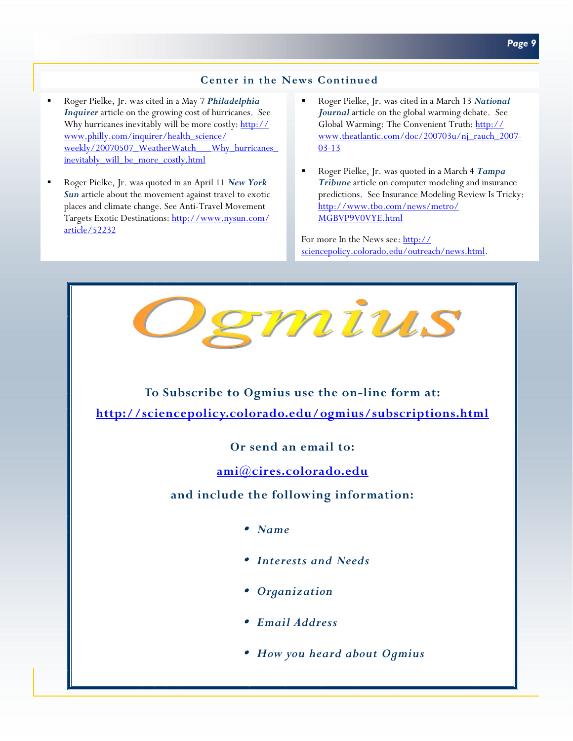### **Center in the News Continued**

- Roger Pielke, Jr. was cited in a May 7 *Philadelphia Inquirer* article on the growing cost of hurricanes. See Why hurricanes inevitably will be more costly: http:// www.philly.com/inquirer/health\_science/ weekly/20070507\_WeatherWatch\_\_\_Why\_hurricanes inevitably will be more costly.html
- Roger Pielke, Jr. was quoted in an April 11 *New York Sun* article about the movement against travel to exotic places and climate change. See Anti-Travel Movement [Targets Exotic Destinations: http://www.nysun.com/](http://www.nysun.com/article/52232) article/52232
- Roger Pielke, Jr. was cited in a March 13 *National Journal* article on the global warming debate. See Global Warming: The Convenient Truth: http:// www.theatlantic.com/doc/200703u/nj\_rauch\_2007- 03-13
- Roger Pielke, Jr. was quoted in a March 4 *Tampa Tribune* article on computer modeling and insurance predictions. See Insurance Modeling Review Is Tricky: [http://www.tbo.com/news/metro/](http://www.tbo.com/news/metro/MGBVP9V0VYE.html) MGBVP9V0VYE.html

For more In the News see: http:// sciencepolicy.colorado.edu/outreach/news.html.



<sup>y</sup> *How you heard about Ogmius*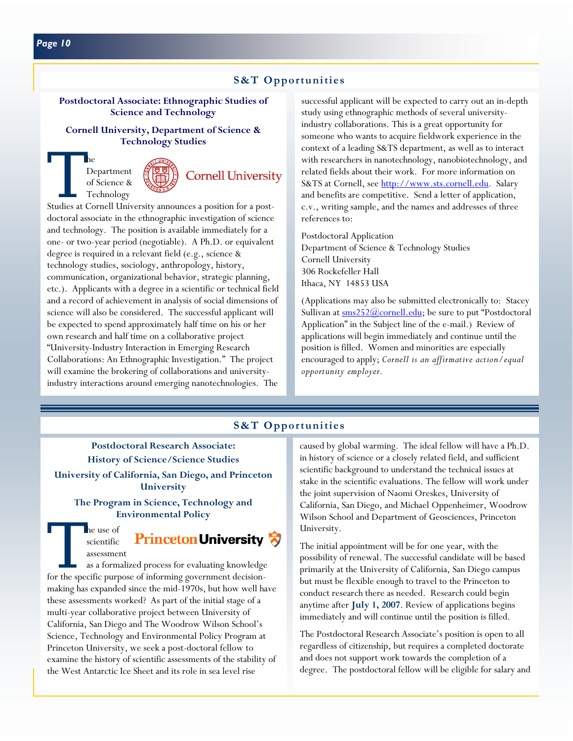# **S&T Opportunities**

### **Postdoctoral Associate: Ethnographic Studies of Science and Technology**

### **Cornell University, Department of Science & Technology Studies**

# The Department<br>
of Science &<br>
Technology<br>
Studies at Cornell University announces a position for a post-Department of Science & Technology





doctoral associate in the ethnographic investigation of science and technology. The position is available immediately for a one- or two-year period (negotiable). A Ph.D. or equivalent degree is required in a relevant field (e.g., science & technology studies, sociology, anthropology, history, communication, organizational behavior, strategic planning, etc.). Applicants with a degree in a scientific or technical field and a record of achievement in analysis of social dimensions of science will also be considered. The successful applicant will be expected to spend approximately half time on his or her own research and half time on a collaborative project "University-Industry Interaction in Emerging Research Collaborations: An Ethnographic Investigation." The project will examine the brokering of collaborations and universityindustry interactions around emerging nanotechnologies. The

successful applicant will be expected to carry out an in-depth study using ethnographic methods of several universityindustry collaborations. This is a great opportunity for someone who wants to acquire fieldwork experience in the context of a leading S&TS department, as well as to interact with researchers in nanotechnology, nanobiotechnology, and related fields about their work. For more information on S&TS at Cornell, see http://www.sts.cornell.edu. Salary and benefits are competitive. Send a letter of application, c.v., writing sample, and the names and addresses of three references to:

Postdoctoral Application Department of Science & Technology Studies Cornell University 306 Rockefeller Hall Ithaca, NY 14853 USA

(Applications may also be submitted electronically to: Stacey Sullivan at  $\frac{\text{sms252@cornell.edu}}{\text{comell.edu}}$ ; be sure to put "Postdoctoral Application" in the Subject line of the e-mail.) Review of applications will begin immediately and continue until the position is filled. Women and minorities are especially encouraged to apply; *Cornell is an affirmative action/equal opportunity employer.* 

# **S&T Opportunities**

### **Postdoctoral Research Associate: History of Science/Science Studies**

**University of California, San Diego, and Princeton University** 

**The Program in Science, Technology and Environmental Policy** 

The use of<br>
scientific **Princeton University**<br>
assessment<br>
as a formalized process for evaluating knowledge<br>
for the specific purpose of informing government decision-**Princeton University** scientific assessment

as a formalized process for evaluating knowledge making has expanded since the mid-1970s, but how well have these assessments worked? As part of the initial stage of a multi-year collaborative project between University of California, San Diego and The Woodrow Wilson School's Science, Technology and Environmental Policy Program at Princeton University, we seek a post-doctoral fellow to examine the history of scientific assessments of the stability of the West Antarctic Ice Sheet and its role in sea level rise

caused by global warming. The ideal fellow will have a Ph.D. in history of science or a closely related field, and sufficient scientific background to understand the technical issues at stake in the scientific evaluations. The fellow will work under the joint supervision of Naomi Oreskes, University of California, San Diego, and Michael Oppenheimer, Woodrow Wilson School and Department of Geosciences, Princeton University.

The initial appointment will be for one year, with the possibility of renewal. The successful candidate will be based primarily at the University of California, San Diego campus but must be flexible enough to travel to the Princeton to conduct research there as needed. Research could begin anytime after **July 1, 2007**. Review of applications begins immediately and will continue until the position is filled.

The Postdoctoral Research Associate's position is open to all regardless of citizenship, but requires a completed doctorate and does not support work towards the completion of a degree. The postdoctoral fellow will be eligible for salary and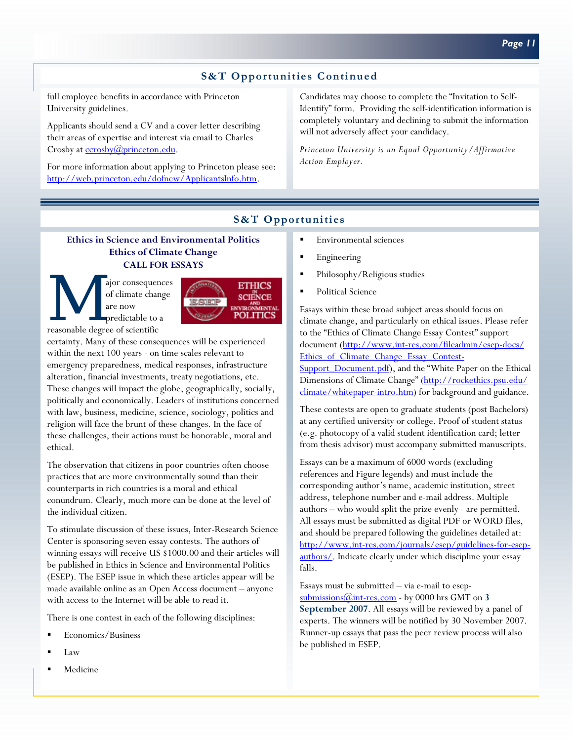# **S&T Opportunities Continued**

full employee benefits in accordance with Princeton University guidelines.

Applicants should send a CV and a cover letter describing their areas of expertise and interest via email to Charles Crosby at ccrosby@princeton.edu.

For more information about applying to Princeton please see: http://web.princeton.edu/dofnew/ApplicantsInfo.htm.

Candidates may choose to complete the "Invitation to Self-Identify" form. Providing the self-identification information is completely voluntary and declining to submit the information will not adversely affect your candidacy.

*Princeton University is an Equal Opportunity/Affirmative Action Employer.* 

# **S&T Opportunities**

### **Ethics in Science and Environmental Politics Ethics of Climate Change CALL FOR ESSAYS**

M ajor consequences<br>
of climate change<br>
are now<br>
predictable to a<br>
reasonable degree of scientific of climate change are now predictable to a



certainty. Many of these consequences will be experienced within the next 100 years - on time scales relevant to emergency preparedness, medical responses, infrastructure alteration, financial investments, treaty negotiations, etc. These changes will impact the globe, geographically, socially, politically and economically. Leaders of institutions concerned with law, business, medicine, science, sociology, politics and religion will face the brunt of these changes. In the face of these challenges, their actions must be honorable, moral and ethical.

The observation that citizens in poor countries often choose practices that are more environmentally sound than their counterparts in rich countries is a moral and ethical conundrum. Clearly, much more can be done at the level of the individual citizen.

To stimulate discussion of these issues, Inter-Research Science Center is sponsoring seven essay contests. The authors of winning essays will receive US \$1000.00 and their articles will be published in Ethics in Science and Environmental Politics (ESEP). The ESEP issue in which these articles appear will be made available online as an Open Access document – anyone with access to the Internet will be able to read it.

There is one contest in each of the following disciplines:

- Economics/Business
- Law
- Medicine
- **Environmental sciences**
- Engineering
- **Philosophy/Religious studies**
- Political Science

Essays within these broad subject areas should focus on climate change, and particularly on ethical issues. Please refer to the "Ethics of Climate Change Essay Contest" support document (http://www.int-res.com/fileadmin/esep-docs/ Ethics of Climate Change Essay Contest-Support\_Document.pdf), and the "White Paper on the Ethical Dimensions of Climate Change" (http://rockethics.psu.edu/ climate/whitepaper-intro.htm) for background and guidance.

These contests are open to graduate students (post Bachelors) at any certified university or college. Proof of student status (e.g. photocopy of a valid student identification card; letter from thesis advisor) must accompany submitted manuscripts.

Essays can be a maximum of 6000 words (excluding references and Figure legends) and must include the corresponding author's name, academic institution, street address, telephone number and e-mail address. Multiple authors – who would split the prize evenly - are permitted. All essays must be submitted as digital PDF or WORD files, and should be prepared following the guidelines detailed at: http://www.int-res.com/journals/esep/guidelines-for-esepauthors/. Indicate clearly under which discipline your essay falls.

Essays must be submitted – via e-mail to esepsubmissions@int-res.com - by 0000 hrs GMT on **3 September 2007**. All essays will be reviewed by a panel of experts. The winners will be notified by 30 November 2007. Runner-up essays that pass the peer review process will also be published in ESEP.